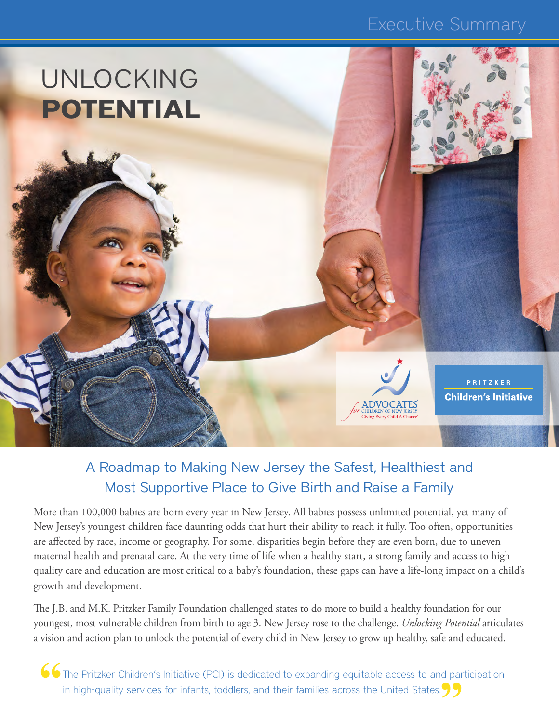### Executive Summary



### A Roadmap to Making New Jersey the Safest, Healthiest and Most Supportive Place to Give Birth and Raise a Family

More than 100,000 babies are born every year in New Jersey. All babies possess unlimited potential, yet many of New Jersey's youngest children face daunting odds that hurt their ability to reach it fully. Too often, opportunities are affected by race, income or geography. For some, disparities begin before they are even born, due to uneven maternal health and prenatal care. At the very time of life when a healthy start, a strong family and access to high quality care and education are most critical to a baby's foundation, these gaps can have a life-long impact on a child's growth and development.

The J.B. and M.K. Pritzker Family Foundation challenged states to do more to build a healthy foundation for our youngest, most vulnerable children from birth to age 3. New Jersey rose to the challenge. *Unlocking Potential* articulates a vision and action plan to unlock the potential of every child in New Jersey to grow up healthy, safe and educated.

**66** The Pritzker Children's Initiative (PCI) is dedicated to expanding equitable access to and participation in high-quality services for infants, toddlers, and their families across the United States.  $\sqrt{2}$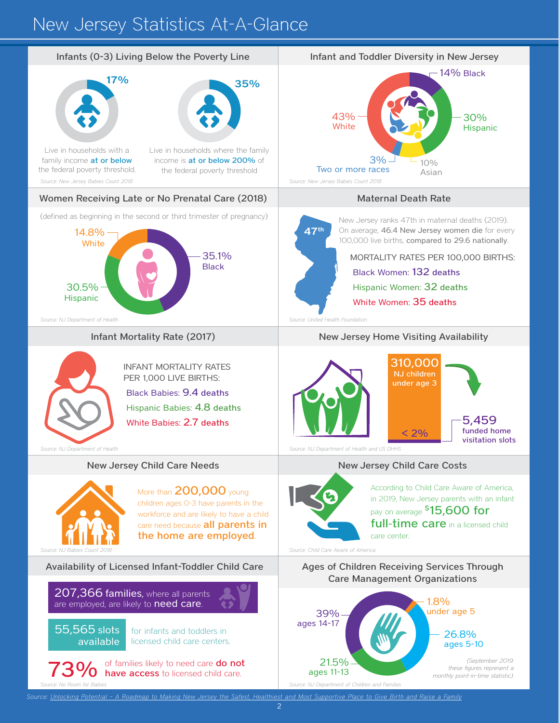# New Jersey Statistics At-A-Glance

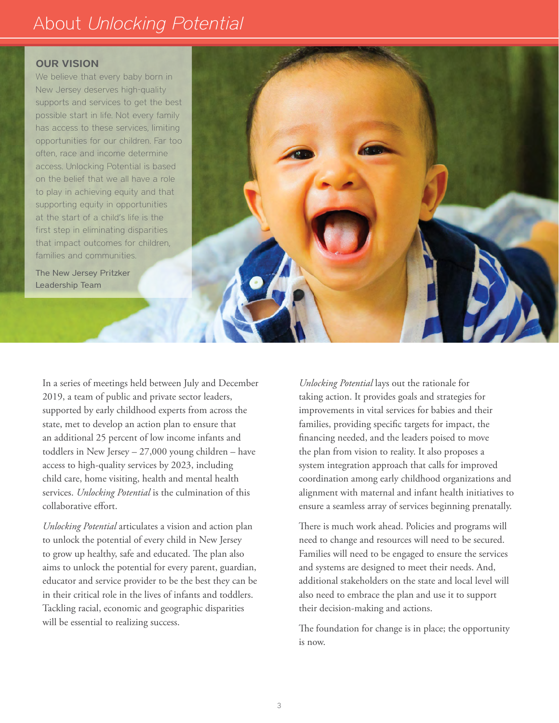## About *Unlocking Potential*

#### OUR VISION

We believe that every baby born in New Jersey deserves high-quality supports and services to get the best possible start in life. Not every family has access to these services, limiting opportunities for our children. Far too often, race and income determine access. Unlocking Potential is based on the belief that we all have a role to play in achieving equity and that supporting equity in opportunities at the start of a child's life is the first step in eliminating disparities that impact outcomes for children, families and communities.

The New Jersey Pritzker Leadership Team



*Unlocking Potential* articulates a vision and action plan to unlock the potential of every child in New Jersey to grow up healthy, safe and educated. The plan also aims to unlock the potential for every parent, guardian, educator and service provider to be the best they can be in their critical role in the lives of infants and toddlers. Tackling racial, economic and geographic disparities will be essential to realizing success.

*Unlocking Potential* lays out the rationale for taking action. It provides goals and strategies for improvements in vital services for babies and their families, providing specific targets for impact, the financing needed, and the leaders poised to move the plan from vision to reality. It also proposes a system integration approach that calls for improved coordination among early childhood organizations and alignment with maternal and infant health initiatives to ensure a seamless array of services beginning prenatally.

There is much work ahead. Policies and programs will need to change and resources will need to be secured. Families will need to be engaged to ensure the services and systems are designed to meet their needs. And, additional stakeholders on the state and local level will also need to embrace the plan and use it to support their decision-making and actions.

The foundation for change is in place; the opportunity is now.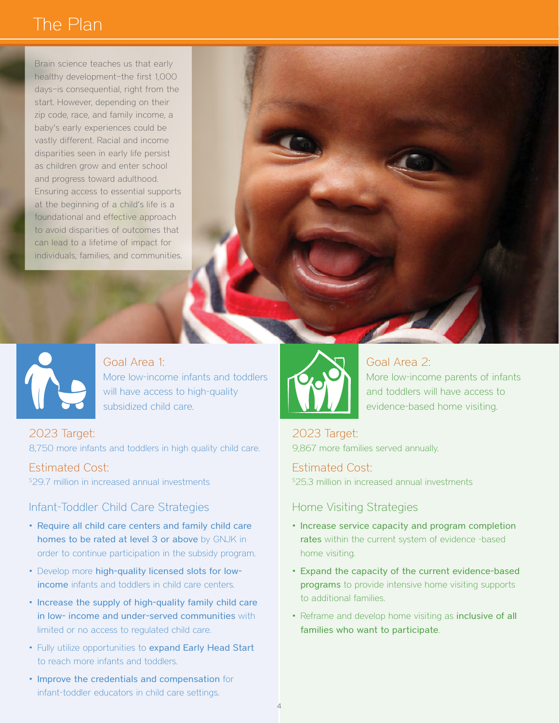## The Plan

Brain science teaches us that early healthy development—the first 1,000 days—is consequential, right from the start. However, depending on their zip code, race, and family income, a baby's early experiences could be vastly different. Racial and income disparities seen in early life persist as children grow and enter school and progress toward adulthood. Ensuring access to essential supports at the beginning of a child's life is a foundational and effective approach to avoid disparities of outcomes that can lead to a lifetime of impact for individuals, families, and communities.



Goal Area 1: More low-income infants and toddlers will have access to high-quality subsidized child care.

2023 Target: 8,750 more infants and toddlers in high quality child care.

Estimated Cost: \$ 29.7 million in increased annual investments

#### Infant-Toddler Child Care Strategies

- Require all child care centers and family child care homes to be rated at level 3 or above by GNJK in order to continue participation in the subsidy program.
- Develop more high-quality licensed slots for lowincome infants and toddlers in child care centers.
- Increase the supply of high-quality family child care in low- income and under-served communities with limited or no access to regulated child care.
- Fully utilize opportunities to expand Early Head Start to reach more infants and toddlers.
- Improve the credentials and compensation for infant-toddler educators in child care settings.



### Goal Area 2:

More low-income parents of infants and toddlers will have access to evidence-based home visiting.

2023 Target: 9,867 more families served annually.

Estimated Cost: \$ 25.3 million in increased annual investments

#### Home Visiting Strategies

- Increase service capacity and program completion rates within the current system of evidence -based home visiting.
- Expand the capacity of the current evidence-based programs to provide intensive home visiting supports to additional families.
- Reframe and develop home visiting as inclusive of all families who want to participate.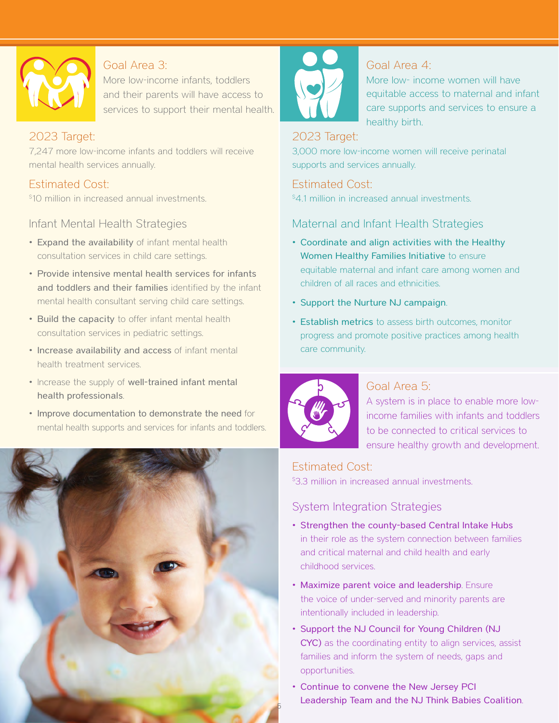

#### Goal Area 3:

More low-income infants, toddlers and their parents will have access to services to support their mental health.

#### 2023 Target:

7,247 more low-income infants and toddlers will receive mental health services annually.

### Estimated Cost:

\$ 10 million in increased annual investments.

Infant Mental Health Strategies

- Expand the availability of infant mental health consultation services in child care settings.
- Provide intensive mental health services for infants and toddlers and their families identified by the infant mental health consultant serving child care settings.
- Build the capacity to offer infant mental health consultation services in pediatric settings.
- Increase availability and access of infant mental health treatment services.
- Increase the supply of well-trained infant mental health professionals.
- Improve documentation to demonstrate the need for mental health supports and services for infants and toddlers.





#### Goal Area 4:

More low- income women will have equitable access to maternal and infant care supports and services to ensure a healthy birth.

#### 2023 Target:

3,000 more low-income women will receive perinatal supports and services annually.

Estimated Cost:

\$ 4.1 million in increased annual investments.

#### Maternal and Infant Health Strategies

- Coordinate and align activities with the Healthy Women Healthy Families Initiative to ensure equitable maternal and infant care among women and children of all races and ethnicities.
- Support the Nurture NJ campaign.
- Establish metrics to assess birth outcomes, monitor progress and promote positive practices among health care community.



#### Goal Area 5:

A system is in place to enable more lowincome families with infants and toddlers to be connected to critical services to ensure healthy growth and development.

### Estimated Cost:

\$3.3 million in increased annual investments.

### System Integration Strategies

- Strengthen the county-based Central Intake Hubs in their role as the system connection between families and critical maternal and child health and early childhood services.
- Maximize parent voice and leadership. Ensure the voice of under-served and minority parents are intentionally included in leadership.
- Support the NJ Council for Young Children (NJ CYC) as the coordinating entity to align services, assist families and inform the system of needs, gaps and opportunities.
- Continue to convene the New Jersey PCI Leadership Team and the NJ Think Babies Coalition.